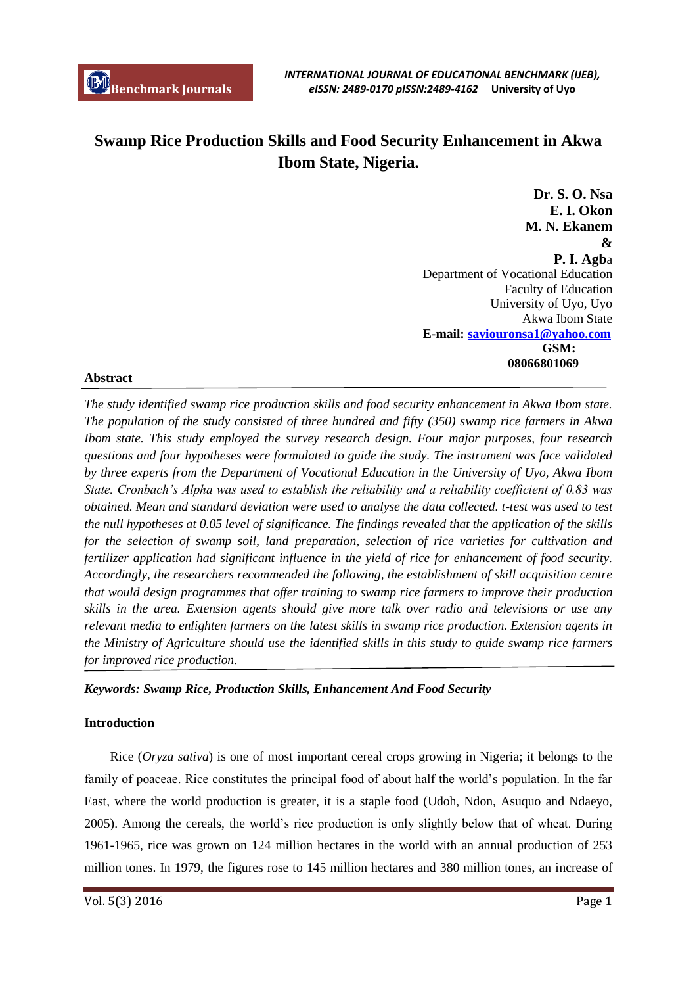# **Swamp Rice Production Skills and Food Security Enhancement in Akwa Ibom State, Nigeria.**

**Dr. S. O. Nsa E. I. Okon M. N. Ekanem & P. I. Agb**a Department of Vocational Education Faculty of Education University of Uyo, Uyo Akwa Ibom State **E-mail: saviouronsa1@yahoo.com GSM: 08066801069**

## **Abstract**

*The study identified swamp rice production skills and food security enhancement in Akwa Ibom state. The population of the study consisted of three hundred and fifty (350) swamp rice farmers in Akwa Ibom state. This study employed the survey research design. Four major purposes, four research questions and four hypotheses were formulated to guide the study. The instrument was face validated by three experts from the Department of Vocational Education in the University of Uyo, Akwa Ibom State. Cronbach's Alpha was used to establish the reliability and a reliability coefficient of 0.83 was obtained. Mean and standard deviation were used to analyse the data collected. t-test was used to test the null hypotheses at 0.05 level of significance. The findings revealed that the application of the skills for the selection of swamp soil, land preparation, selection of rice varieties for cultivation and fertilizer application had significant influence in the yield of rice for enhancement of food security. Accordingly, the researchers recommended the following, the establishment of skill acquisition centre that would design programmes that offer training to swamp rice farmers to improve their production skills in the area. Extension agents should give more talk over radio and televisions or use any relevant media to enlighten farmers on the latest skills in swamp rice production. Extension agents in the Ministry of Agriculture should use the identified skills in this study to guide swamp rice farmers for improved rice production.* 

#### *Keywords: Swamp Rice, Production Skills, Enhancement And Food Security*

#### **Introduction**

 Rice (*Oryza sativa*) is one of most important cereal crops growing in Nigeria; it belongs to the family of poaceae. Rice constitutes the principal food of about half the world"s population. In the far East, where the world production is greater, it is a staple food (Udoh, Ndon, Asuquo and Ndaeyo, 2005). Among the cereals, the world"s rice production is only slightly below that of wheat. During 1961-1965, rice was grown on 124 million hectares in the world with an annual production of 253 million tones. In 1979, the figures rose to 145 million hectares and 380 million tones, an increase of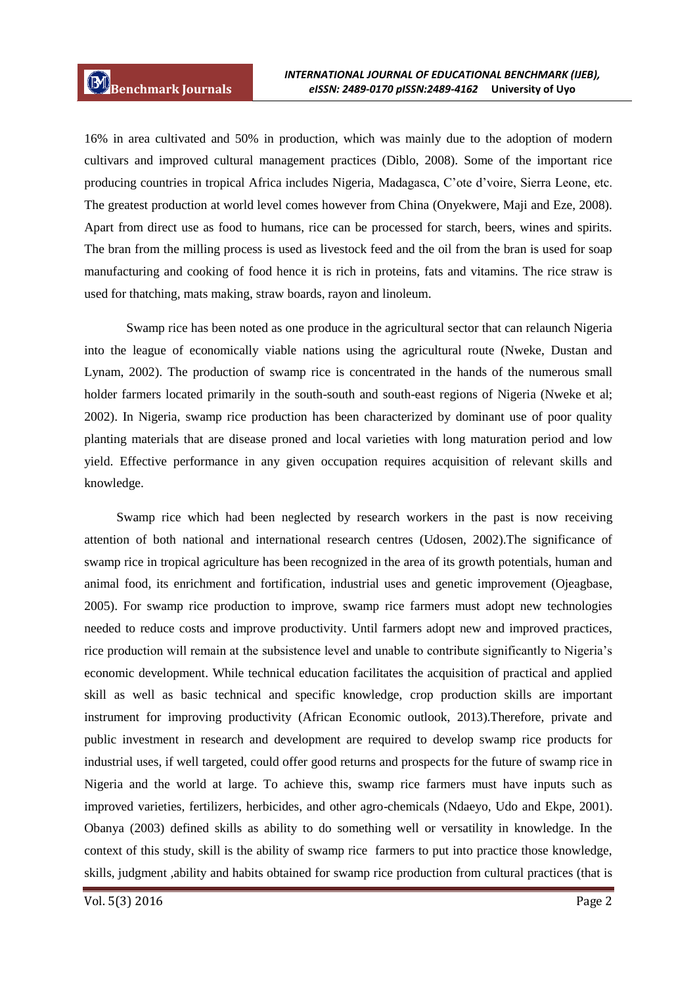16% in area cultivated and 50% in production, which was mainly due to the adoption of modern cultivars and improved cultural management practices (Diblo, 2008). Some of the important rice producing countries in tropical Africa includes Nigeria, Madagasca, C"ote d"voire, Sierra Leone, etc. The greatest production at world level comes however from China (Onyekwere, Maji and Eze, 2008). Apart from direct use as food to humans, rice can be processed for starch, beers, wines and spirits. The bran from the milling process is used as livestock feed and the oil from the bran is used for soap manufacturing and cooking of food hence it is rich in proteins, fats and vitamins. The rice straw is used for thatching, mats making, straw boards, rayon and linoleum.

Swamp rice has been noted as one produce in the agricultural sector that can relaunch Nigeria into the league of economically viable nations using the agricultural route (Nweke, Dustan and Lynam, 2002). The production of swamp rice is concentrated in the hands of the numerous small holder farmers located primarily in the south-south and south-east regions of Nigeria (Nweke et al; 2002). In Nigeria, swamp rice production has been characterized by dominant use of poor quality planting materials that are disease proned and local varieties with long maturation period and low yield. Effective performance in any given occupation requires acquisition of relevant skills and knowledge.

 Swamp rice which had been neglected by research workers in the past is now receiving attention of both national and international research centres (Udosen, 2002).The significance of swamp rice in tropical agriculture has been recognized in the area of its growth potentials, human and animal food, its enrichment and fortification, industrial uses and genetic improvement (Ojeagbase, 2005). For swamp rice production to improve, swamp rice farmers must adopt new technologies needed to reduce costs and improve productivity. Until farmers adopt new and improved practices, rice production will remain at the subsistence level and unable to contribute significantly to Nigeria"s economic development. While technical education facilitates the acquisition of practical and applied skill as well as basic technical and specific knowledge, crop production skills are important instrument for improving productivity (African Economic outlook, 2013).Therefore, private and public investment in research and development are required to develop swamp rice products for industrial uses, if well targeted, could offer good returns and prospects for the future of swamp rice in Nigeria and the world at large. To achieve this, swamp rice farmers must have inputs such as improved varieties, fertilizers, herbicides, and other agro-chemicals (Ndaeyo, Udo and Ekpe, 2001). Obanya (2003) defined skills as ability to do something well or versatility in knowledge. In the context of this study, skill is the ability of swamp rice farmers to put into practice those knowledge, skills, judgment ,ability and habits obtained for swamp rice production from cultural practices (that is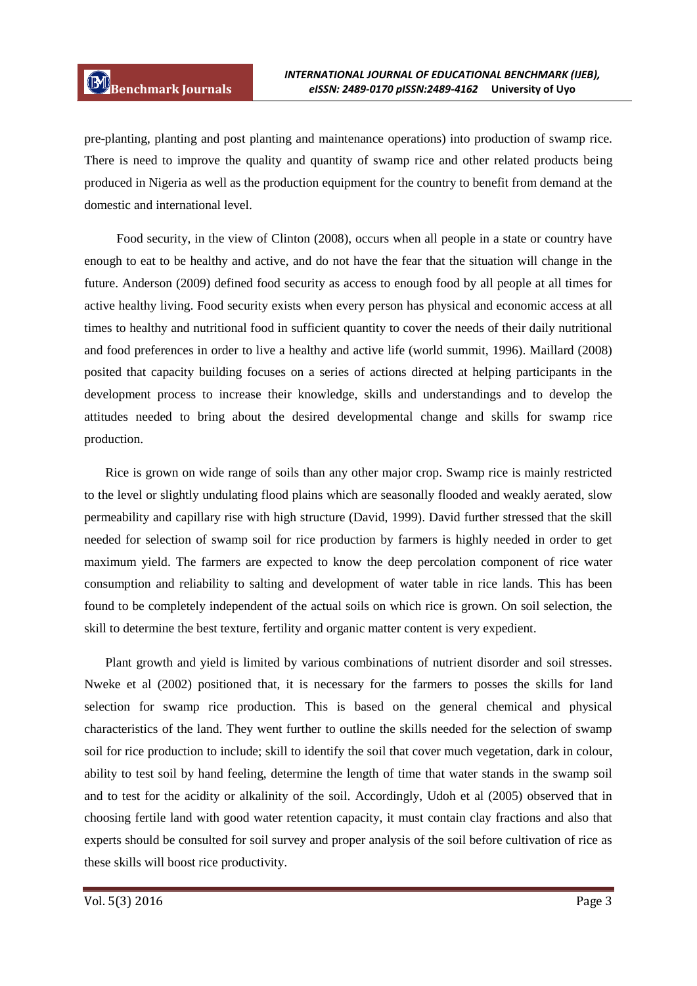pre-planting, planting and post planting and maintenance operations) into production of swamp rice. There is need to improve the quality and quantity of swamp rice and other related products being produced in Nigeria as well as the production equipment for the country to benefit from demand at the domestic and international level.

 Food security, in the view of Clinton (2008), occurs when all people in a state or country have enough to eat to be healthy and active, and do not have the fear that the situation will change in the future. Anderson (2009) defined food security as access to enough food by all people at all times for active healthy living. Food security exists when every person has physical and economic access at all times to healthy and nutritional food in sufficient quantity to cover the needs of their daily nutritional and food preferences in order to live a healthy and active life (world summit, 1996). Maillard (2008) posited that capacity building focuses on a series of actions directed at helping participants in the development process to increase their knowledge, skills and understandings and to develop the attitudes needed to bring about the desired developmental change and skills for swamp rice production.

Rice is grown on wide range of soils than any other major crop. Swamp rice is mainly restricted to the level or slightly undulating flood plains which are seasonally flooded and weakly aerated, slow permeability and capillary rise with high structure (David, 1999). David further stressed that the skill needed for selection of swamp soil for rice production by farmers is highly needed in order to get maximum yield. The farmers are expected to know the deep percolation component of rice water consumption and reliability to salting and development of water table in rice lands. This has been found to be completely independent of the actual soils on which rice is grown. On soil selection, the skill to determine the best texture, fertility and organic matter content is very expedient.

Plant growth and yield is limited by various combinations of nutrient disorder and soil stresses. Nweke et al (2002) positioned that, it is necessary for the farmers to posses the skills for land selection for swamp rice production. This is based on the general chemical and physical characteristics of the land. They went further to outline the skills needed for the selection of swamp soil for rice production to include; skill to identify the soil that cover much vegetation, dark in colour, ability to test soil by hand feeling, determine the length of time that water stands in the swamp soil and to test for the acidity or alkalinity of the soil. Accordingly, Udoh et al (2005) observed that in choosing fertile land with good water retention capacity, it must contain clay fractions and also that experts should be consulted for soil survey and proper analysis of the soil before cultivation of rice as these skills will boost rice productivity.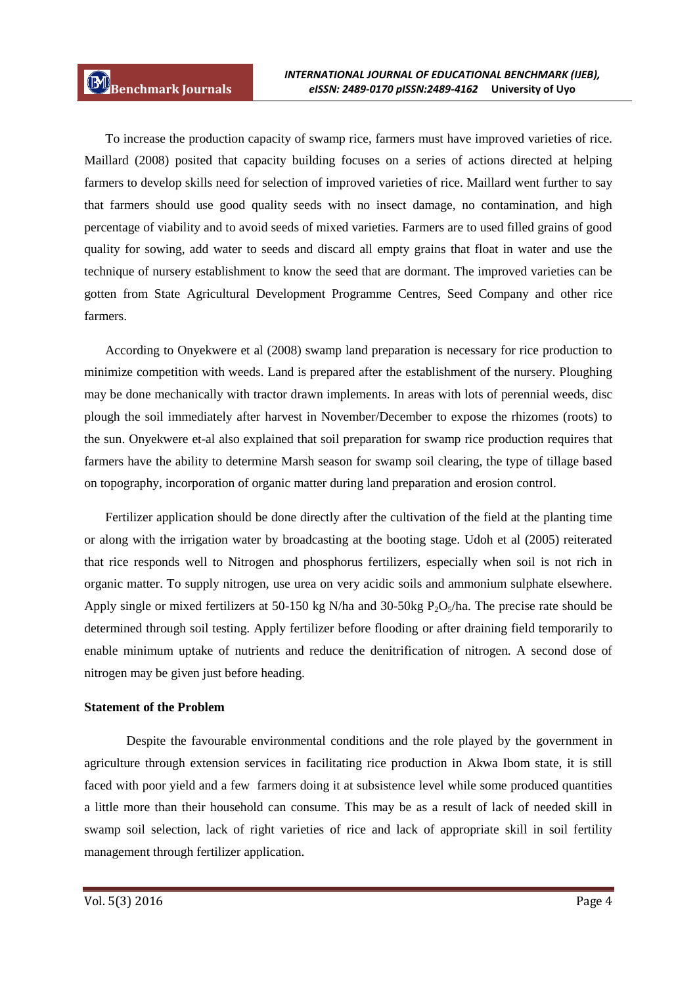To increase the production capacity of swamp rice, farmers must have improved varieties of rice. Maillard (2008) posited that capacity building focuses on a series of actions directed at helping farmers to develop skills need for selection of improved varieties of rice. Maillard went further to say that farmers should use good quality seeds with no insect damage, no contamination, and high percentage of viability and to avoid seeds of mixed varieties. Farmers are to used filled grains of good quality for sowing, add water to seeds and discard all empty grains that float in water and use the technique of nursery establishment to know the seed that are dormant. The improved varieties can be gotten from State Agricultural Development Programme Centres, Seed Company and other rice farmers.

According to Onyekwere et al (2008) swamp land preparation is necessary for rice production to minimize competition with weeds. Land is prepared after the establishment of the nursery. Ploughing may be done mechanically with tractor drawn implements. In areas with lots of perennial weeds, disc plough the soil immediately after harvest in November/December to expose the rhizomes (roots) to the sun. Onyekwere et-al also explained that soil preparation for swamp rice production requires that farmers have the ability to determine Marsh season for swamp soil clearing, the type of tillage based on topography, incorporation of organic matter during land preparation and erosion control.

Fertilizer application should be done directly after the cultivation of the field at the planting time or along with the irrigation water by broadcasting at the booting stage. Udoh et al (2005) reiterated that rice responds well to Nitrogen and phosphorus fertilizers, especially when soil is not rich in organic matter. To supply nitrogen, use urea on very acidic soils and ammonium sulphate elsewhere. Apply single or mixed fertilizers at 50-150 kg N/ha and 30-50kg  $P_2O_5/ha$ . The precise rate should be determined through soil testing. Apply fertilizer before flooding or after draining field temporarily to enable minimum uptake of nutrients and reduce the denitrification of nitrogen. A second dose of nitrogen may be given just before heading.

#### **Statement of the Problem**

Despite the favourable environmental conditions and the role played by the government in agriculture through extension services in facilitating rice production in Akwa Ibom state, it is still faced with poor yield and a few farmers doing it at subsistence level while some produced quantities a little more than their household can consume. This may be as a result of lack of needed skill in swamp soil selection, lack of right varieties of rice and lack of appropriate skill in soil fertility management through fertilizer application.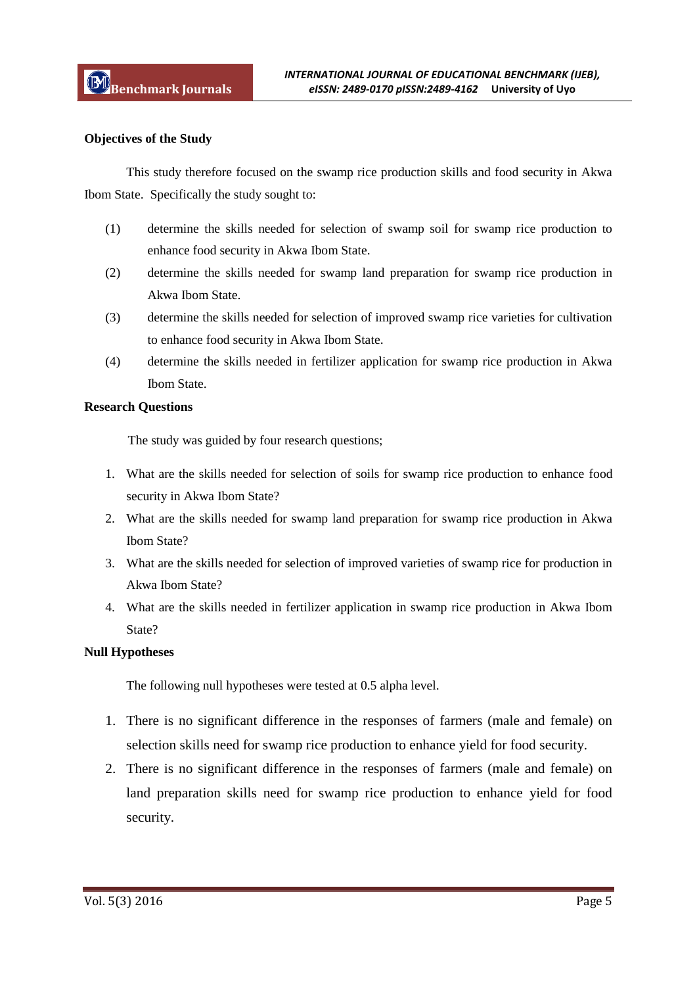## **Objectives of the Study**

This study therefore focused on the swamp rice production skills and food security in Akwa Ibom State. Specifically the study sought to:

- (1) determine the skills needed for selection of swamp soil for swamp rice production to enhance food security in Akwa Ibom State.
- (2) determine the skills needed for swamp land preparation for swamp rice production in Akwa Ibom State.
- (3) determine the skills needed for selection of improved swamp rice varieties for cultivation to enhance food security in Akwa Ibom State.
- (4) determine the skills needed in fertilizer application for swamp rice production in Akwa Ibom State.

#### **Research Questions**

The study was guided by four research questions;

- 1. What are the skills needed for selection of soils for swamp rice production to enhance food security in Akwa Ibom State?
- 2. What are the skills needed for swamp land preparation for swamp rice production in Akwa Ibom State?
- 3. What are the skills needed for selection of improved varieties of swamp rice for production in Akwa Ibom State?
- 4. What are the skills needed in fertilizer application in swamp rice production in Akwa Ibom State?

#### **Null Hypotheses**

The following null hypotheses were tested at 0.5 alpha level.

- 1. There is no significant difference in the responses of farmers (male and female) on selection skills need for swamp rice production to enhance yield for food security.
- 2. There is no significant difference in the responses of farmers (male and female) on land preparation skills need for swamp rice production to enhance yield for food security.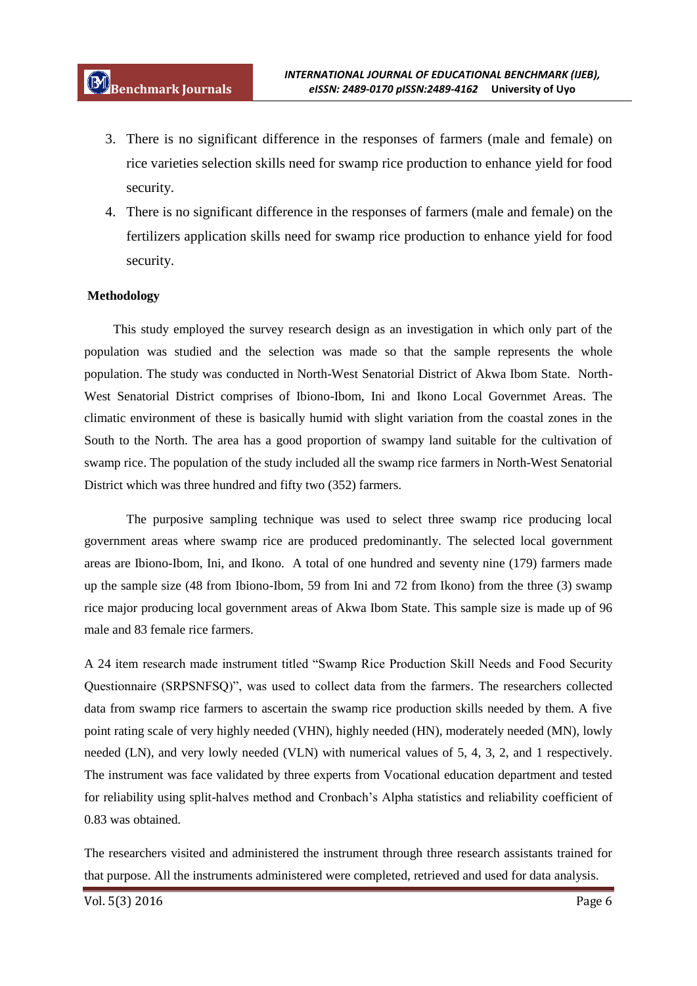- 3. There is no significant difference in the responses of farmers (male and female) on rice varieties selection skills need for swamp rice production to enhance yield for food security.
- 4. There is no significant difference in the responses of farmers (male and female) on the fertilizers application skills need for swamp rice production to enhance yield for food security.

## **Methodology**

 This study employed the survey research design as an investigation in which only part of the population was studied and the selection was made so that the sample represents the whole population. The study was conducted in North-West Senatorial District of Akwa Ibom State. North-West Senatorial District comprises of Ibiono-Ibom, Ini and Ikono Local Governmet Areas. The climatic environment of these is basically humid with slight variation from the coastal zones in the South to the North. The area has a good proportion of swampy land suitable for the cultivation of swamp rice. The population of the study included all the swamp rice farmers in North-West Senatorial District which was three hundred and fifty two (352) farmers.

The purposive sampling technique was used to select three swamp rice producing local government areas where swamp rice are produced predominantly. The selected local government areas are Ibiono-Ibom, Ini, and Ikono. A total of one hundred and seventy nine (179) farmers made up the sample size (48 from Ibiono-Ibom, 59 from Ini and 72 from Ikono) from the three (3) swamp rice major producing local government areas of Akwa Ibom State. This sample size is made up of 96 male and 83 female rice farmers.

A 24 item research made instrument titled "Swamp Rice Production Skill Needs and Food Security Questionnaire (SRPSNFSQ)", was used to collect data from the farmers. The researchers collected data from swamp rice farmers to ascertain the swamp rice production skills needed by them. A five point rating scale of very highly needed (VHN), highly needed (HN), moderately needed (MN), lowly needed (LN), and very lowly needed (VLN) with numerical values of 5, 4, 3, 2, and 1 respectively. The instrument was face validated by three experts from Vocational education department and tested for reliability using split-halves method and Cronbach"s Alpha statistics and reliability coefficient of 0.83 was obtained.

The researchers visited and administered the instrument through three research assistants trained for that purpose. All the instruments administered were completed, retrieved and used for data analysis.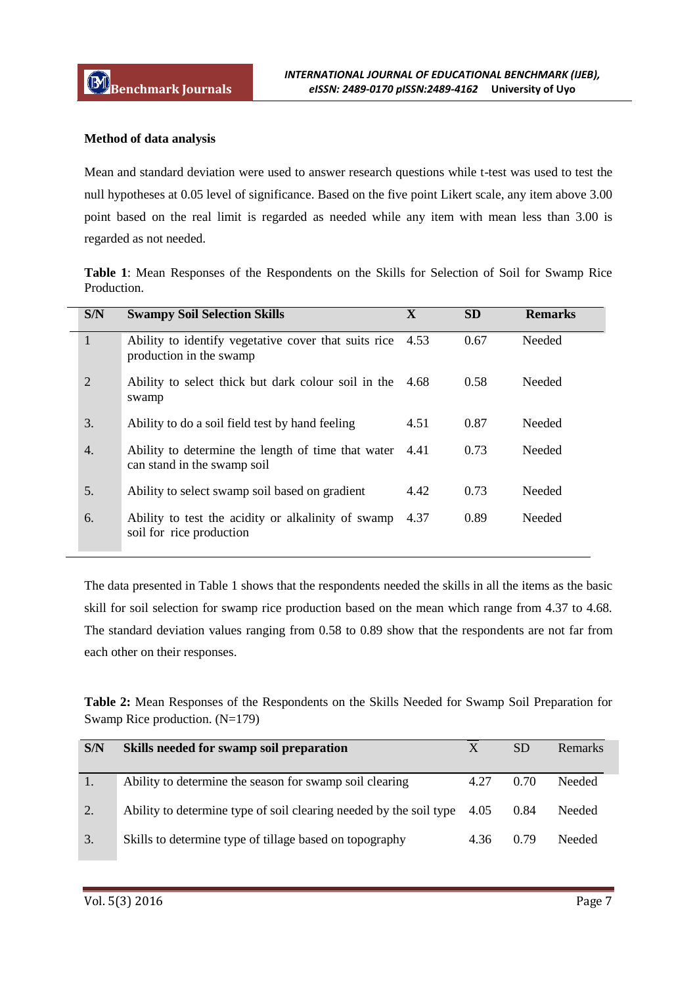## **Method of data analysis**

Mean and standard deviation were used to answer research questions while t-test was used to test the null hypotheses at 0.05 level of significance. Based on the five point Likert scale, any item above 3.00 point based on the real limit is regarded as needed while any item with mean less than 3.00 is regarded as not needed.

| Table 1: Mean Responses of the Respondents on the Skills for Selection of Soil for Swamp Rice |  |  |  |  |  |  |  |
|-----------------------------------------------------------------------------------------------|--|--|--|--|--|--|--|
| Production.                                                                                   |  |  |  |  |  |  |  |

| S/N          | <b>Swampy Soil Selection Skills</b>                                               | $\mathbf{X}$ | <b>SD</b> | <b>Remarks</b> |
|--------------|-----------------------------------------------------------------------------------|--------------|-----------|----------------|
| $\mathbf{1}$ | Ability to identify vegetative cover that suits rice<br>production in the swamp   | 4.53         | 0.67      | Needed         |
| 2            | Ability to select thick but dark colour soil in the<br>swamp                      | 4.68         | 0.58      | Needed         |
| 3.           | Ability to do a soil field test by hand feeling                                   | 4.51         | 0.87      | <b>Needed</b>  |
| 4.           | Ability to determine the length of time that water<br>can stand in the swamp soil | 4.41         | 0.73      | Needed         |
| 5.           | Ability to select swamp soil based on gradient                                    | 4.42         | 0.73      | Needed         |
| 6.           | Ability to test the acidity or alkalinity of swamp<br>soil for rice production    | 4.37         | 0.89      | Needed         |

The data presented in Table 1 shows that the respondents needed the skills in all the items as the basic skill for soil selection for swamp rice production based on the mean which range from 4.37 to 4.68. The standard deviation values ranging from 0.58 to 0.89 show that the respondents are not far from each other on their responses.

**Table 2:** Mean Responses of the Respondents on the Skills Needed for Swamp Soil Preparation for Swamp Rice production. (N=179)

| S/N | Skills needed for swamp soil preparation                                |      | SD   | <b>Remarks</b> |
|-----|-------------------------------------------------------------------------|------|------|----------------|
| 1.  | Ability to determine the season for swamp soil clearing                 | 4.27 | 0.70 | Needed         |
| 2.  | Ability to determine type of soil clearing needed by the soil type 4.05 |      | 0.84 | Needed         |
| 3.  | Skills to determine type of tillage based on topography                 | 4.36 | 0.79 | Needed         |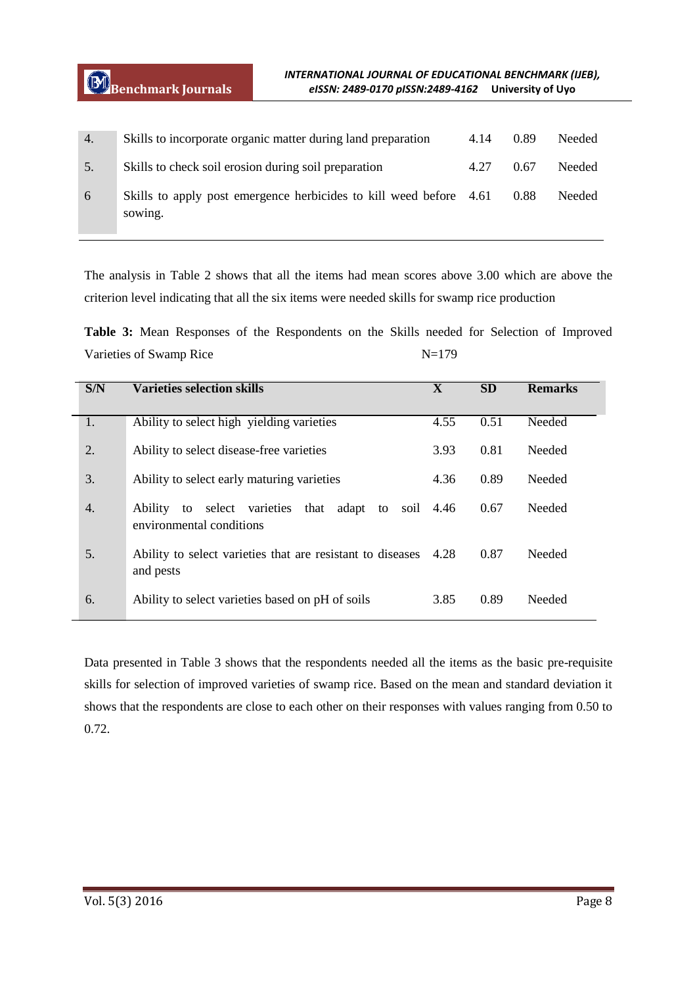| 4. | Skills to incorporate organic matter during land preparation                  | 4.14 | 0.89 | Needed |
|----|-------------------------------------------------------------------------------|------|------|--------|
| 5. | Skills to check soil erosion during soil preparation                          | 4.27 | 0.67 | Needed |
| 6  | Skills to apply post emergence herbicides to kill weed before 4.61<br>sowing. |      | 0.88 | Needed |

The analysis in Table 2 shows that all the items had mean scores above 3.00 which are above the criterion level indicating that all the six items were needed skills for swamp rice production

**Table 3:** Mean Responses of the Respondents on the Skills needed for Selection of Improved Varieties of Swamp Rice N=179

| S/N              | <b>Varieties selection skills</b>                                                   | X    | SD   | <b>Remarks</b> |
|------------------|-------------------------------------------------------------------------------------|------|------|----------------|
| 1.               | Ability to select high yielding varieties                                           | 4.55 | 0.51 | Needed         |
| 2.               | Ability to select disease-free varieties                                            | 3.93 | 0.81 | Needed         |
| 3.               | Ability to select early maturing varieties                                          | 4.36 | 0.89 | Needed         |
| $\overline{4}$ . | to select varieties that<br>adapt to<br>soil<br>Ability<br>environmental conditions | 4.46 | 0.67 | Needed         |
| 5.               | Ability to select varieties that are resistant to diseases<br>and pests             | 4.28 | 0.87 | Needed         |
| 6.               | Ability to select varieties based on pH of soils                                    | 3.85 | 0.89 | Needed         |

Data presented in Table 3 shows that the respondents needed all the items as the basic pre-requisite skills for selection of improved varieties of swamp rice. Based on the mean and standard deviation it shows that the respondents are close to each other on their responses with values ranging from 0.50 to 0.72.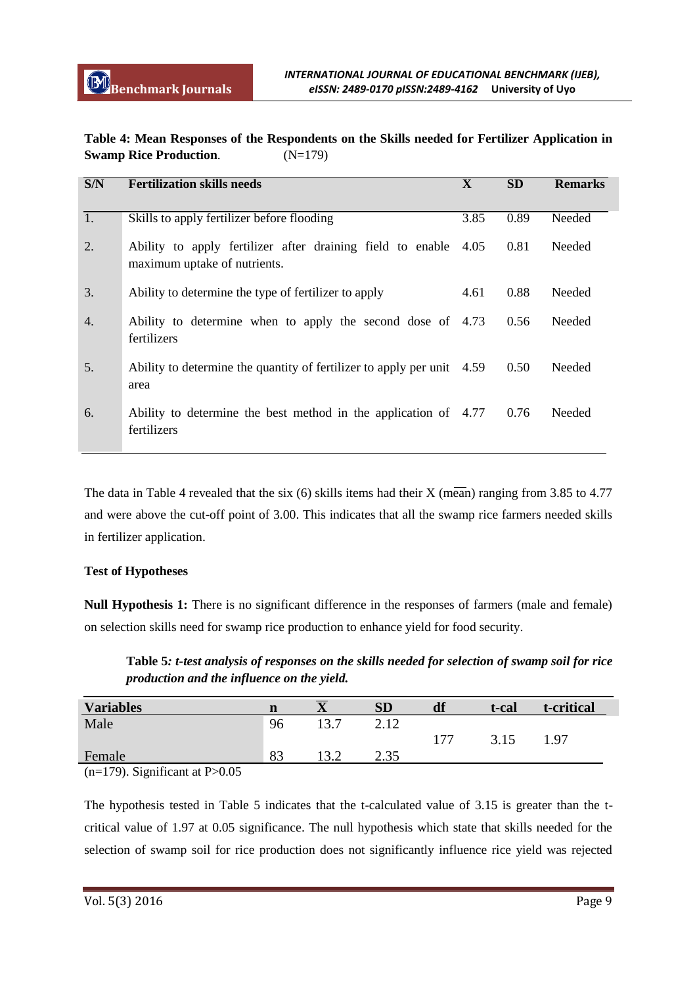**Table 4: Mean Responses of the Respondents on the Skills needed for Fertilizer Application in Swamp Rice Production.** (N=179)

| S/N              | <b>Fertilization skills needs</b>                                                               | $\mathbf{X}$ | <b>SD</b> | <b>Remarks</b> |
|------------------|-------------------------------------------------------------------------------------------------|--------------|-----------|----------------|
| $\overline{1}$ . | Skills to apply fertilizer before flooding                                                      | 3.85         | 0.89      | Needed         |
| 2.               | Ability to apply fertilizer after draining field to enable 4.05<br>maximum uptake of nutrients. |              | 0.81      | Needed         |
| 3.               | Ability to determine the type of fertilizer to apply                                            | 4.61         | 0.88      | Needed         |
| 4.               | Ability to determine when to apply the second dose of 4.73<br>fertilizers                       |              | 0.56      | Needed         |
| 5.               | Ability to determine the quantity of fertilizer to apply per unit 4.59<br>area                  |              | 0.50      | Needed         |
| 6.               | Ability to determine the best method in the application of 4.77<br>fertilizers                  |              | 0.76      | Needed         |

The data in Table 4 revealed that the six  $(6)$  skills items had their X (mean) ranging from 3.85 to 4.77 and were above the cut-off point of 3.00. This indicates that all the swamp rice farmers needed skills in fertilizer application.

# **Test of Hypotheses**

**Null Hypothesis 1:** There is no significant difference in the responses of farmers (male and female) on selection skills need for swamp rice production to enhance yield for food security.

**Table 5***: t-test analysis of responses on the skills needed for selection of swamp soil for rice production and the influence on the yield.*

| <b>Variables</b>                             |    |     | <b>SD</b> | df  | t-cal | t-critical |
|----------------------------------------------|----|-----|-----------|-----|-------|------------|
| Male                                         | 96 | 127 | 2.12      |     |       |            |
|                                              |    |     |           | 177 | 3.15  | 1.97       |
| Female                                       | 83 |     | 2.35      |     |       |            |
| $(170)$ $C:$ $C:$ $(17)$ $D:$ $D:$ $D:$ $D:$ |    |     |           |     |       |            |

 $(n=179)$ . Significant at P $>0.05$ 

The hypothesis tested in Table 5 indicates that the t-calculated value of 3.15 is greater than the tcritical value of 1.97 at 0.05 significance. The null hypothesis which state that skills needed for the selection of swamp soil for rice production does not significantly influence rice yield was rejected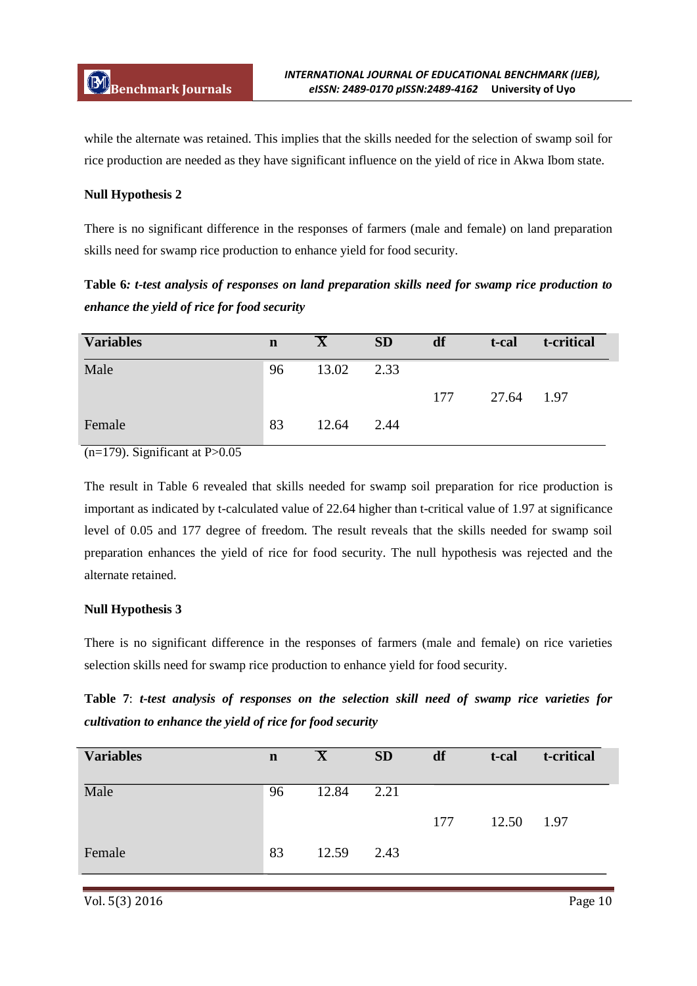while the alternate was retained. This implies that the skills needed for the selection of swamp soil for rice production are needed as they have significant influence on the yield of rice in Akwa Ibom state.

# **Null Hypothesis 2**

There is no significant difference in the responses of farmers (male and female) on land preparation skills need for swamp rice production to enhance yield for food security.

**Table 6***: t-test analysis of responses on land preparation skills need for swamp rice production to enhance the yield of rice for food security*

| <b>Variables</b> | $\mathbf n$ | $\mathbf X$ | <b>SD</b> | df  | t-cal      | t-critical |
|------------------|-------------|-------------|-----------|-----|------------|------------|
| Male             | 96          | 13.02       | 2.33      |     |            |            |
|                  |             |             |           | 177 | 27.64 1.97 |            |
| Female           | 83          | 12.64       | 2.44      |     |            |            |

 $(n=179)$ . Significant at P $>0.05$ 

The result in Table 6 revealed that skills needed for swamp soil preparation for rice production is important as indicated by t-calculated value of 22.64 higher than t-critical value of 1.97 at significance level of 0.05 and 177 degree of freedom. The result reveals that the skills needed for swamp soil preparation enhances the yield of rice for food security. The null hypothesis was rejected and the alternate retained.

# **Null Hypothesis 3**

There is no significant difference in the responses of farmers (male and female) on rice varieties selection skills need for swamp rice production to enhance yield for food security.

**Table 7**: *t-test analysis of responses on the selection skill need of swamp rice varieties for cultivation to enhance the yield of rice for food security*

| <b>Variables</b> | $\mathbf n$ | $\overline{\mathbf{X}}$ | <b>SD</b> | df  | t-cal | t-critical |
|------------------|-------------|-------------------------|-----------|-----|-------|------------|
| Male             | 96          | 12.84                   | 2.21      |     |       |            |
|                  |             |                         |           | 177 | 12.50 | 1.97       |
| Female           | 83          | 12.59                   | 2.43      |     |       |            |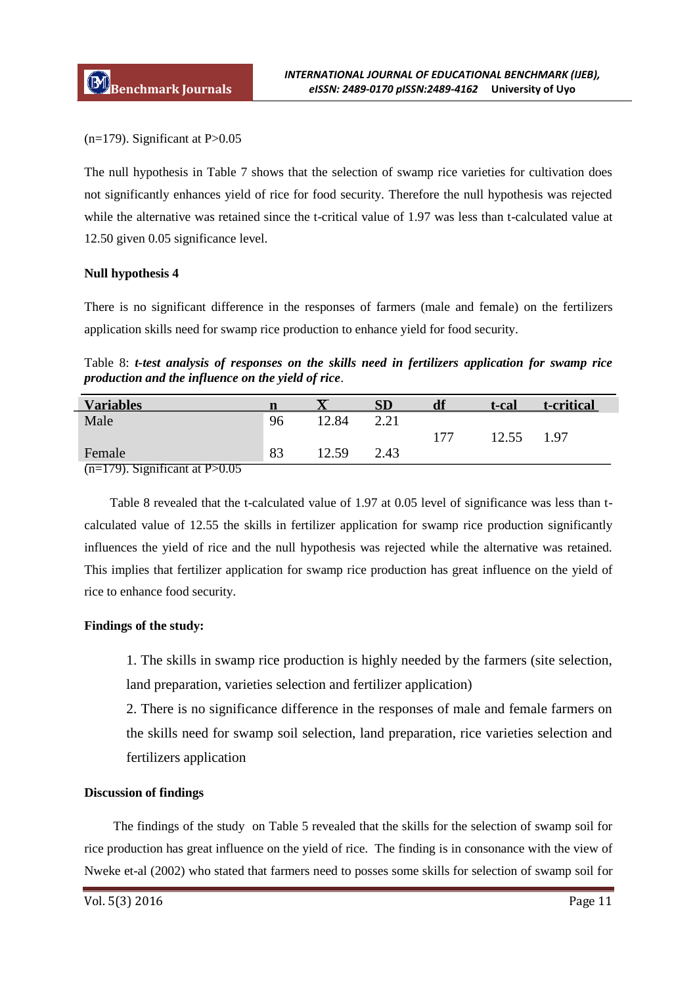$(n=179)$ . Significant at P $>0.05$ 

The null hypothesis in Table 7 shows that the selection of swamp rice varieties for cultivation does not significantly enhances yield of rice for food security. Therefore the null hypothesis was rejected while the alternative was retained since the t-critical value of 1.97 was less than t-calculated value at 12.50 given 0.05 significance level.

## **Null hypothesis 4**

There is no significant difference in the responses of farmers (male and female) on the fertilizers application skills need for swamp rice production to enhance yield for food security.

Table 8: *t-test analysis of responses on the skills need in fertilizers application for swamp rice production and the influence on the yield of rice*.

| <b>Variables</b>                                               |    |       | ${\bf SD}$ | df  | t-cal | t-critical |
|----------------------------------------------------------------|----|-------|------------|-----|-------|------------|
| Male                                                           | 96 | '2.84 | 2.21       |     |       |            |
|                                                                |    |       |            | 177 | 12.55 | 1.97       |
| Female                                                         | 83 | 12.59 | 2.43       |     |       |            |
| $\sqrt{20}$ $\frac{170}{20}$ $\frac{170}{20}$ $\frac{170}{20}$ |    |       |            |     |       |            |

 $(n=179)$ . Significant at P $>0.05$ 

 Table 8 revealed that the t-calculated value of 1.97 at 0.05 level of significance was less than tcalculated value of 12.55 the skills in fertilizer application for swamp rice production significantly influences the yield of rice and the null hypothesis was rejected while the alternative was retained. This implies that fertilizer application for swamp rice production has great influence on the yield of rice to enhance food security.

# **Findings of the study:**

1. The skills in swamp rice production is highly needed by the farmers (site selection, land preparation, varieties selection and fertilizer application)

2. There is no significance difference in the responses of male and female farmers on the skills need for swamp soil selection, land preparation, rice varieties selection and fertilizers application

# **Discussion of findings**

 The findings of the study on Table 5 revealed that the skills for the selection of swamp soil for rice production has great influence on the yield of rice. The finding is in consonance with the view of Nweke et-al (2002) who stated that farmers need to posses some skills for selection of swamp soil for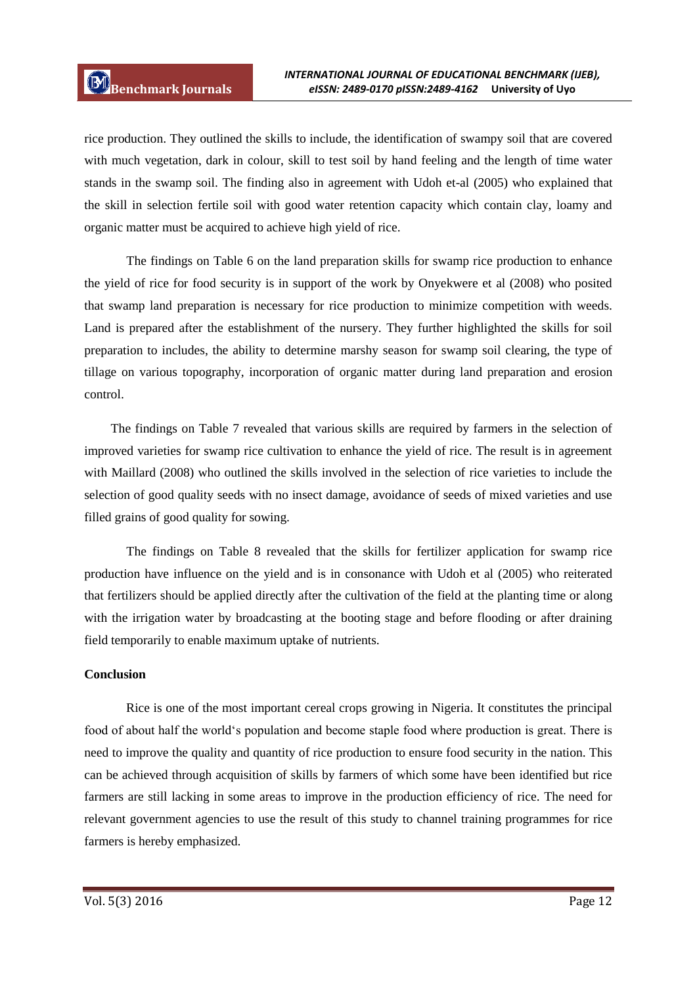rice production. They outlined the skills to include, the identification of swampy soil that are covered with much vegetation, dark in colour, skill to test soil by hand feeling and the length of time water stands in the swamp soil. The finding also in agreement with Udoh et-al (2005) who explained that the skill in selection fertile soil with good water retention capacity which contain clay, loamy and organic matter must be acquired to achieve high yield of rice.

The findings on Table 6 on the land preparation skills for swamp rice production to enhance the yield of rice for food security is in support of the work by Onyekwere et al (2008) who posited that swamp land preparation is necessary for rice production to minimize competition with weeds. Land is prepared after the establishment of the nursery. They further highlighted the skills for soil preparation to includes, the ability to determine marshy season for swamp soil clearing, the type of tillage on various topography, incorporation of organic matter during land preparation and erosion control.

The findings on Table 7 revealed that various skills are required by farmers in the selection of improved varieties for swamp rice cultivation to enhance the yield of rice. The result is in agreement with Maillard (2008) who outlined the skills involved in the selection of rice varieties to include the selection of good quality seeds with no insect damage, avoidance of seeds of mixed varieties and use filled grains of good quality for sowing.

The findings on Table 8 revealed that the skills for fertilizer application for swamp rice production have influence on the yield and is in consonance with Udoh et al (2005) who reiterated that fertilizers should be applied directly after the cultivation of the field at the planting time or along with the irrigation water by broadcasting at the booting stage and before flooding or after draining field temporarily to enable maximum uptake of nutrients.

# **Conclusion**

 Rice is one of the most important cereal crops growing in Nigeria. It constitutes the principal food of about half the world"s population and become staple food where production is great. There is need to improve the quality and quantity of rice production to ensure food security in the nation. This can be achieved through acquisition of skills by farmers of which some have been identified but rice farmers are still lacking in some areas to improve in the production efficiency of rice. The need for relevant government agencies to use the result of this study to channel training programmes for rice farmers is hereby emphasized.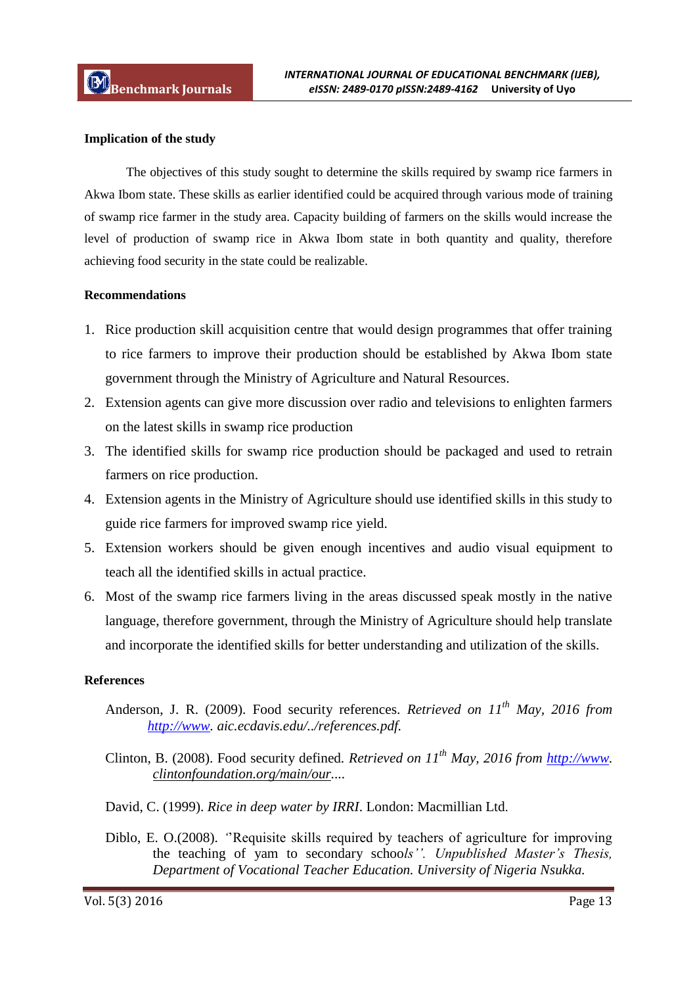## **Implication of the study**

 The objectives of this study sought to determine the skills required by swamp rice farmers in Akwa Ibom state. These skills as earlier identified could be acquired through various mode of training of swamp rice farmer in the study area. Capacity building of farmers on the skills would increase the level of production of swamp rice in Akwa Ibom state in both quantity and quality, therefore achieving food security in the state could be realizable.

## **Recommendations**

- 1. Rice production skill acquisition centre that would design programmes that offer training to rice farmers to improve their production should be established by Akwa Ibom state government through the Ministry of Agriculture and Natural Resources.
- 2. Extension agents can give more discussion over radio and televisions to enlighten farmers on the latest skills in swamp rice production
- 3. The identified skills for swamp rice production should be packaged and used to retrain farmers on rice production.
- 4. Extension agents in the Ministry of Agriculture should use identified skills in this study to guide rice farmers for improved swamp rice yield.
- 5. Extension workers should be given enough incentives and audio visual equipment to teach all the identified skills in actual practice.
- 6. Most of the swamp rice farmers living in the areas discussed speak mostly in the native language, therefore government, through the Ministry of Agriculture should help translate and incorporate the identified skills for better understanding and utilization of the skills.

#### **References**

- Anderson, J. R. (2009). Food security references. *Retrieved on 11th May, 2016 from http://www. aic.ecdavis.edu/../references.pdf.*
- Clinton, B. (2008). Food security defined*. Retrieved on 11th May, 2016 from http://www. clintonfoundation.org/main/our....*
- David, C. (1999). *Rice in deep water by IRRI*. London: Macmillian Ltd.
- Diblo, E. O.(2008). *'*"Requisite skills required by teachers of agriculture for improving the teaching of yam to secondary schoo*ls''. Unpublished Master's Thesis, Department of Vocational Teacher Education. University of Nigeria Nsukka.*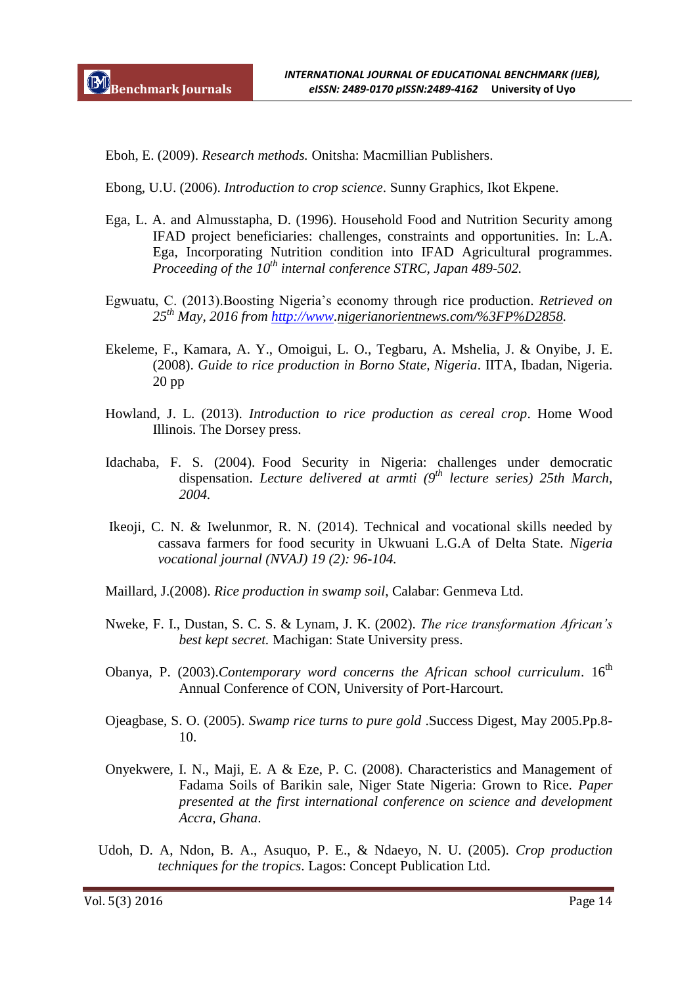Eboh, E. (2009). *Research methods.* Onitsha: Macmillian Publishers.

Ebong, U.U. (2006). *Introduction to crop science*. Sunny Graphics, Ikot Ekpene.

- Ega, L. A. and Almusstapha, D. (1996). Household Food and Nutrition Security among IFAD project beneficiaries: challenges, constraints and opportunities. In: L.A. Ega, Incorporating Nutrition condition into IFAD Agricultural programmes. *Proceeding of the 10th internal conference STRC, Japan 489-502.*
- Egwuatu, C. (2013).Boosting Nigeria"s economy through rice production. *Retrieved on 25th May, 2016 from http://www.nigerianorientnews.com/%3FP%D2858.*
- Ekeleme, F., Kamara, A. Y., Omoigui, L. O., Tegbaru, A. Mshelia, J. & Onyibe, J. E. (2008). *Guide to rice production in Borno State, Nigeria*. IITA, Ibadan, Nigeria. 20 pp
- Howland, J. L. (2013). *Introduction to rice production as cereal crop*. Home Wood Illinois. The Dorsey press.
- Idachaba, F. S. (2004). Food Security in Nigeria: challenges under democratic dispensation. *Lecture delivered at armti (9th lecture series) 25th March, 2004.*
- Ikeoji, C. N. & Iwelunmor, R. N. (2014). Technical and vocational skills needed by cassava farmers for food security in Ukwuani L.G.A of Delta State. *Nigeria vocational journal (NVAJ) 19 (2): 96-104.*
- Maillard, J.(2008). *Rice production in swamp soil*, Calabar: Genmeva Ltd.
- Nweke, F. I., Dustan, S. C. S. & Lynam, J. K. (2002). *The rice transformation African's best kept secret.* Machigan: State University press.
- Obanya, P. (2003).*Contemporary word concerns the African school curriculum*. 16<sup>th</sup> Annual Conference of CON, University of Port-Harcourt.
- Ojeagbase, S. O. (2005). *Swamp rice turns to pure gold* .Success Digest, May 2005.Pp.8- 10.
- Onyekwere, I. N., Maji, E. A & Eze, P. C. (2008). Characteristics and Management of Fadama Soils of Barikin sale, Niger State Nigeria: Grown to Rice. *Paper presented at the first international conference on science and development Accra, Ghana*.
- Udoh, D. A, Ndon, B. A., Asuquo, P. E., & Ndaeyo, N. U. (2005). *Crop production techniques for the tropics*. Lagos: Concept Publication Ltd.